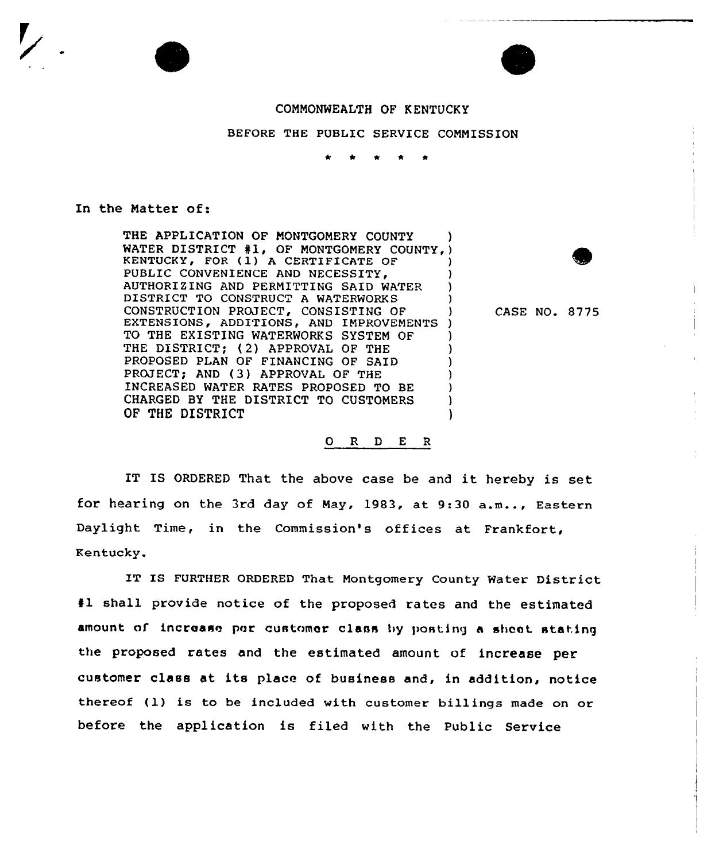## COMMONWEALTH OF KENTUCKY

BEFORE THE PUBLIC SERVICE COMMISSION

## In the Matter of:

THE APPLICATION OF MONTGOMERY COUNTY WATER DISTRICT #1, OF MONTGOMERY COUNTY, KENTUCKY, FOR (1) <sup>A</sup> CERTIFICATE OF ) PUBLIC CONVENIENCE AND NECESSITY, AUTHORIZING AND PERMITTING SAID WATER ) DISTRICT TO CONSTRUCT A WATERWORKS CONSTRUCTION PROJECT, CONSISTING OF ) EXTENSIONS, ADDITIONS, AND IMPROVEMENTS ) TO THE EXISTING WATERWORKS SYSTEM OF THE DISTRICT; (2) APPROVAL OF THE PROPOSED PLAN OF FINANCING OF SAID PROJECT; AND (3) APPROVAL OF THE INCREASED WATER RATES PROPOSED TO BE } CHARGED BY THE DISTRICT TO CUSTOMERS OF THE DISTRICT

CASE NO. 8775

## O R D E R

IT IS ORDERED That the above case be and it hereby is set for hearing on the 3rd day of May, 1983, at 9:<sup>30</sup> a.m... Eastern Daylight Time, in the Commission's offices at Frankfort, Kentucky.

IT IS FURTHER ORDERED That Montgomery County Water District 41 shall provide notice of the proposed rates and the estimated amount of increase per customer class by posting a sheet stating the proposed rates and the estimated amount of increase per customer class at its place of business and, in addition, notice thereof (l) is to be included with customer billings made on or before the application is filed with the Public Service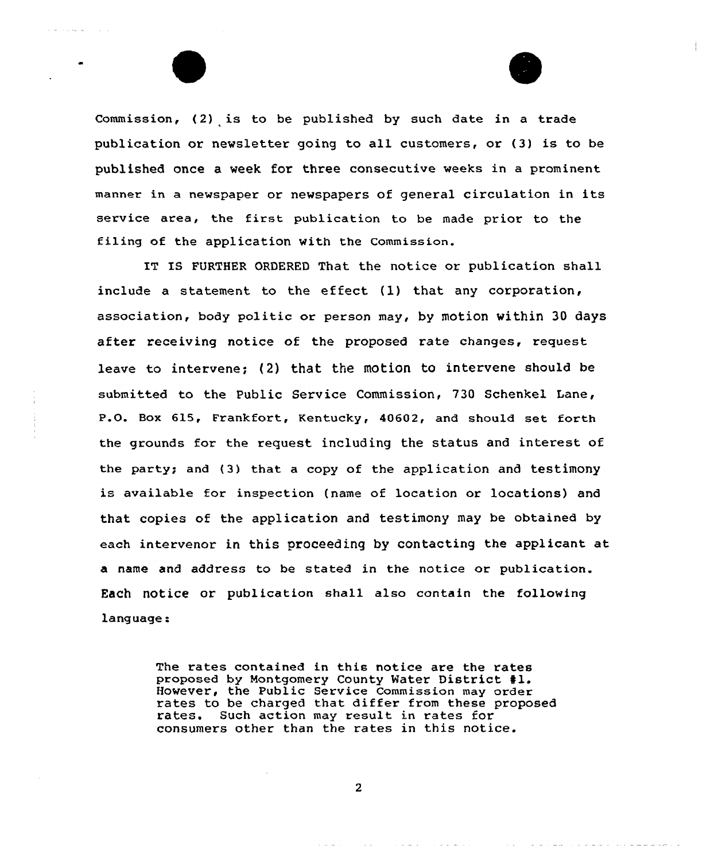Commission, (2) is to be published by such date in a trade publication or newsletter going to all customers, or (3) is to be published once a week for three consecutive weeks in a prominent manner in <sup>a</sup> newspaper or newspapers of general circulation in its service area, the first publication to be made prior to the filing of the application with the Commission.

 $\alpha_{\rm c} = 0.01$  and  $\alpha_{\rm c}$ 

IT IS FURTHER ORDERED That the notice or publication shall include a statement to the effect {1) that any corporation, association, body politic or person may, by motion within 30 days after receiving notice of the proposed rate changes, request leave to intervene; {2) that the motion to intervene should be submitted to the Public Service Commission, 730 Schenkel Lane, P.O. Box 615, Frankfort, Kentucky, 40602, and should set forth the grounds for the request including the status and interest of the party; and (3) that a copy of the application and testimony is available for inspection {name of location or locations) and that copies of the application and testimony may be obtained by each intervenor in this proceeding by contacting the applicant at a name and address to be stated in the notice or publication. Each notice or publication shall also contain the following language:

> The rates contained in this notice are the rates proposed by Montgomery County Water District #1. However, the Public Service Commission may order rates to be charged that differ from these proposed rates. Such action may result in rates for consumers other than the rates in this notice.

> > $\mathbf{2}$